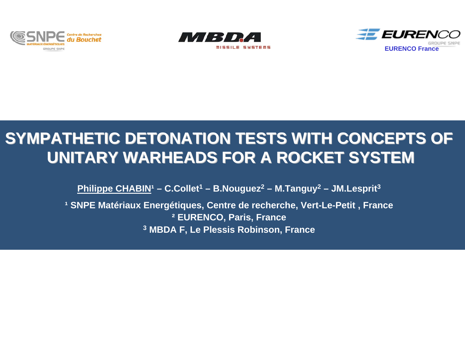





# SYMPATHETIC DETONATION TESTS WITH CONCEPTS OF **UNITARY WARHEADS FOR A ROCKET SYSTEM UNITARY WARHEADS FOR A ROCKET SYSTEM**

Philippe CHABIN<sup>1</sup> – C.Collet<sup>1</sup> – B.Nouguez<sup>2</sup> – M.Tanguy<sup>2</sup> – JM.Lesprit<sup>3</sup>

<sup>1</sup> SNPE Matériaux Energétiques, Centre de recherche, Vert-Le-Petit, France **² EURENCO, Paris, France 3 MBDA F, Le Plessis Robinson, France**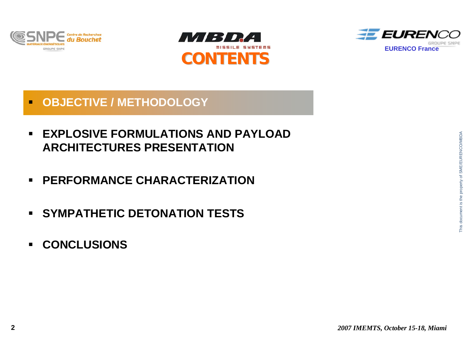





#### $\blacksquare$ **OBJECTIVE / METHODOLOGY**

- $\blacksquare$  **EXPLOSIVE FORMULATIONS AND PAYLOAD ARCHITECTURES PRESENTATION**
- **PERFORMANCE CHARACTERIZATION**
- **SYMPATHETIC DETONATION TESTS**
- $\blacksquare$ **CONCLUSIONS**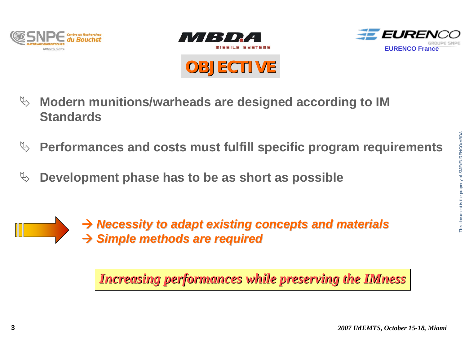





**OBJECTIVE OBJECTIVE**

- $\%$  Modern munitions/warheads are designed according to IM **Standards**
- ª **Performances and costs must fulfill specific program requirements**
- $\%$  Development phase has to be as short as possible



Æ *Necessity to adapt existing concepts and materials Necessity to adapt existing concepts and materials* Æ *Simple methods are required Simple methods are required*

*Increasing performances while preserving the IMness Increasing performances while preserving the IMness*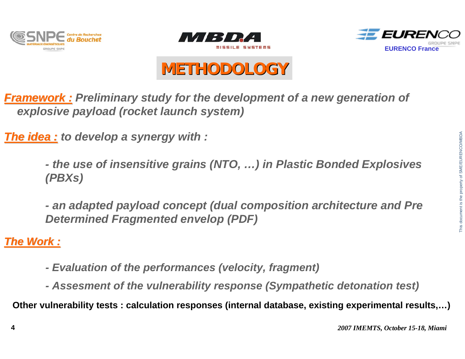





# **METHODOLOGY METHODOLOGY**

*Framework : Framework : Preliminary study for the development of a new generation of explosive payload (rocket launch system)*

*The idea : The idea : to develop a synergy with :*

*- the use of insensitive grains (NTO, …) in Plastic Bonded Explosives (PBXs)*

*- an adapted payload concept (dual composition architecture and Pre Determined Fragmented envelop (PDF)*

*The Work : The Work :*

- *Evaluation of the performances (velocity, fragment)*
- *Assesment of the vulnerability response (Sympathetic detonation test)*

**Other vulnerability tests : calculation responses (internal database, existing experimental results,…)**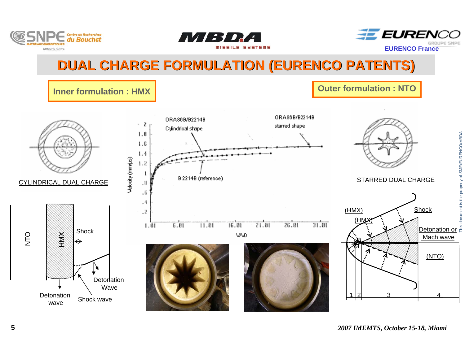





### **DUAL CHARGE FORMULATION (EURENCO PATENTS)**

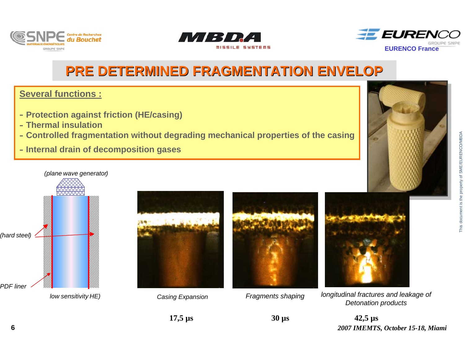





### **PRE DETERMINED FRAGMENTATION ENVELOP PRE DETERMINED FRAGMENTATION ENVELOP**

#### **Several functions :**

- **Protection against friction (HE/casing)**
- **Thermal insulation**
- **Controlled fragmentation without degrading mechanical properties of the casing**
- **Internal drain of decomposition gases**







*Casing Expansion*



*Fragments shaping* 



*longitudinal fractures and leakage of Detonation products*

*2007 IMEMTS, October 15-18, Miami* **42,5 µs**

**30 µs**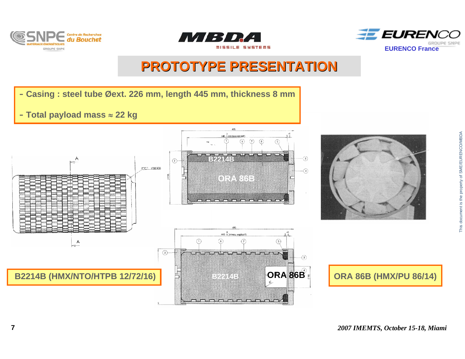





### **PROTOTYPE PRESENTATION PROTOTYPE PRESENTATION**

- **Casing : steel tube Øext. 226 mm, length 445 mm, thickness 8 mm**

- **Total payload mass** <sup>≈</sup> **22 kg**



*2007 IMEMTS, October 15-18, Miami*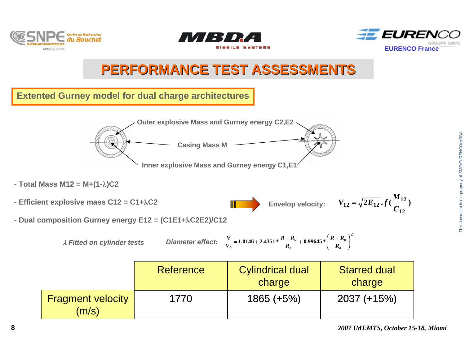





### **PERFORMANCE TEST ASSESSMENTS PERFORMANCE TEST ASSESSMENTS**

#### **Extented Gurney model for dual charge architectures**



- **Total Mass M12 = M+(1-**λ**)C2**
- **Efficient explosive mass C12 = C1+**λ**C2**
- Envelop velocity:  $V_{12} = \sqrt{2E_{12} \cdot f(\frac{12}{C})}$  $I_12 = \sqrt{2E_{12}} \cdot f(\frac{M_{12}}{C_{12}})$  $V_{12} = \sqrt{2E_{12}}. f(\frac{M}{\epsilon})$
- **Dual composition Gurney energy E12 = (C1E1+**λ**C2E2)/C12**

$$
\lambda \text{ Fitted on cylinder tests} \qquad \text{Diameter effect:} \quad \frac{V}{V_0} = 1.0146 + 2.4351 \times \frac{R - R_o}{R_o} + 0.99645 \times \left(\frac{R - R_o}{R_o}\right)^2
$$

|                                   | Reference | <b>Cylindrical dual</b><br>charge | <b>Starred dual</b><br>charge |
|-----------------------------------|-----------|-----------------------------------|-------------------------------|
| <b>Fragment velocity</b><br>(m/s) | 1770      | $1865 (+5%)$                      | $2037 (+15%)$                 |

**12**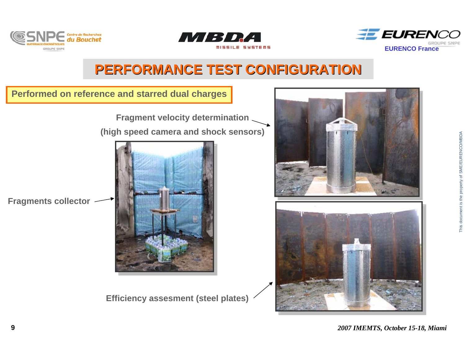





### **PERFORMANCE TEST CONFIGURATION PERFORMANCE TEST CONFIGURATION**

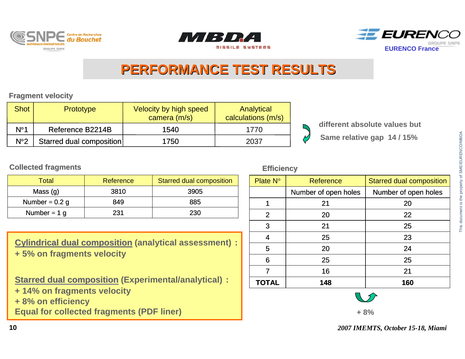





### **PERFORMANCE TEST RESULTS PERFORMANCE TEST RESULTS**

**Fragment velocity**

| <b>Shot</b>  | <b>Prototype</b>         | Velocity by high speed<br>camera (m/s) | Analytical<br>calculations (m/s) |                               |
|--------------|--------------------------|----------------------------------------|----------------------------------|-------------------------------|
| $N^{\circ}1$ | Reference B2214B         | 1540                                   | 1770                             | different absolute values but |
| $N^{\circ}2$ | Starred dual composition | 1750                                   | 2037                             | Same relative gap 14/15%      |

**Collected fragments Efficiency**

| Total            | Reference | Starred dual composition |
|------------------|-----------|--------------------------|
| Mass $(g)$       | 3810      | 3905                     |
| Number = $0.2$ g | 849       | 885                      |
| Number = $1 g$   | 231       | 230                      |

**Cylindrical dual composition (analytical assessment) : + 5% on fragments velocity**

**Starred dual composition (Experimental/analytical) :** 

- **+ 14% on fragments velocity**
- **+ 8% on efficiency**

**Equal for collected fragments (PDF liner)**

| Plate N°     | Reference            | <b>Starred dual composition</b> |  |
|--------------|----------------------|---------------------------------|--|
|              | Number of open holes | Number of open holes            |  |
| 1            | 21                   | 20                              |  |
| 2            | 20                   | 22                              |  |
| 3            | 21                   | 25                              |  |
| 4            | 25                   | 23                              |  |
| 5            | 20                   | 24                              |  |
| 6            | 25                   | 25                              |  |
| 7            | 16                   | 21                              |  |
| <b>TOTAL</b> | 148                  | 160                             |  |

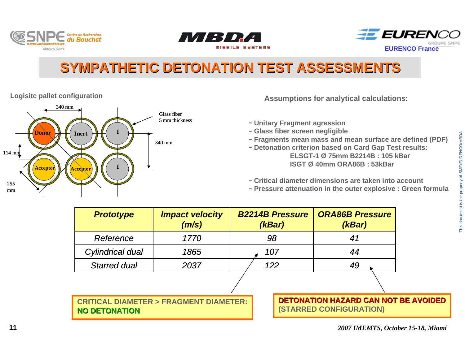





## **SYMPATHETIC DETONATION TEST ASSESSMENTS SYMPATHETIC DETONATION TEST ASSESSMENTS**



**Logisitc pallet configuration** 

- **Unitary Fragment agression**
- **Glass fiber screen negligible**
- **Fragments mean mass and mean surface are defined (PDF)**
- **Detonation criterion based on Card Gap Test results: ELSGT-1 Ø 75mm B2214B : 105 kBarISGT Ø 40mm ORA86B : 53kBar**
- **Critical diameter dimensions are taken into account**
- **Pressure attenuation in the outer explosive : Green formula**

| <b>Prototype</b>                                                         | <b>Impact velocity</b><br>(m/s) | <b>B2214B Pressure</b><br>(KBar) | <b>ORA86B Pressure</b><br>(kBar)                                       |  |
|--------------------------------------------------------------------------|---------------------------------|----------------------------------|------------------------------------------------------------------------|--|
| Reference                                                                | 1770                            | 98                               | 41                                                                     |  |
| <b>Cylindrical dual</b>                                                  | 1865                            | 107                              | 44                                                                     |  |
| <b>Starred dual</b>                                                      | 2037                            | 122                              | 49                                                                     |  |
|                                                                          |                                 |                                  |                                                                        |  |
| <b>CRITICAL DIAMETER &gt; FRAGMENT DIAMETER:</b><br><b>NO DETONATION</b> |                                 |                                  | <b>DETONATION HAZARD CAN NOT BE AVOIDED</b><br>(STARRED CONFIGURATION) |  |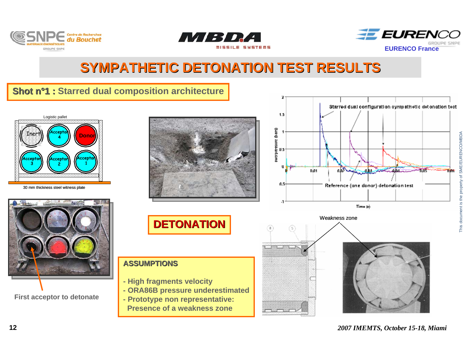





### **SYMPATHETIC DETONATION TEST RESULTS SYMPATHETIC DETONATION TEST RESULTS**

### **Shot n°1 : Starred dual composition architecture**



30 mm thickness steel witness plate



**First acceptor to detonate**





#### **ASSUMPTIONS**

- **High fragments velocity**
- **ORA86B pressure underestimated**

**- Prototype non representative: Presence of a weakness zone**





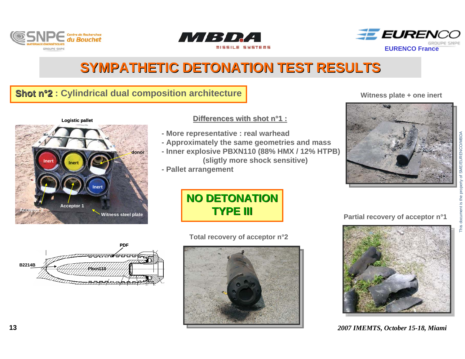





### **SYMPATHETIC DETONATION TEST RESULTS SYMPATHETIC DETONATION TEST RESULTS**

#### **Shot n°2 : Cylindrical dual composition architecture**

**Witness steel plate**

## **donor InertI**II Inert **InertLogistic pallet**

**Acceptor 1**

#### **Differences with shot n°1 :**

- **More representative : real warhead**
- **Approximately the same geometries and mass**
- **Inner explosive PBXN110 (88% HMX / 12% HTPB) (sligtly more shock sensitive)**
- **Pallet arrangement**

#### **Witness plate + one inert**



### **NO DETONATION NO DETONATIONTYPE III TYPE III**

#### **Total recovery of acceptor n°2**



#### **Partial recovery of acceptor n°1**



#### *2007 IMEMTS, October 15-18, Miami*



**Acceptor 2**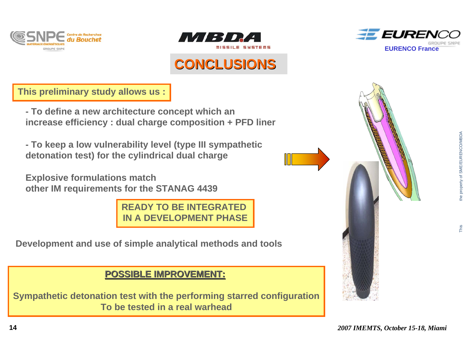



### **CONCLUSIONS CONCLUSIONS**



**This preliminary study allows us :**

**- To define a new architecture concept which an increase efficiency : dual charge composition + PFD liner**

**- To keep a low vulnerability level (type III sympathetic detonation test) for the cylindrical dual charge**

**Explosive formulations match other IM requirements for the STANAG 4439**

> **READY TO BE INTEGRATED IN A DEVELOPMENT PHASE**

**Development and use of simple analytical methods and tools** 

### **POSSIBLE IMPROVEMENT: POSSIBLE IMPROVEMENT:**

**Sympathetic detonation test with the performing starred configuration To be tested in a real warhead**



This